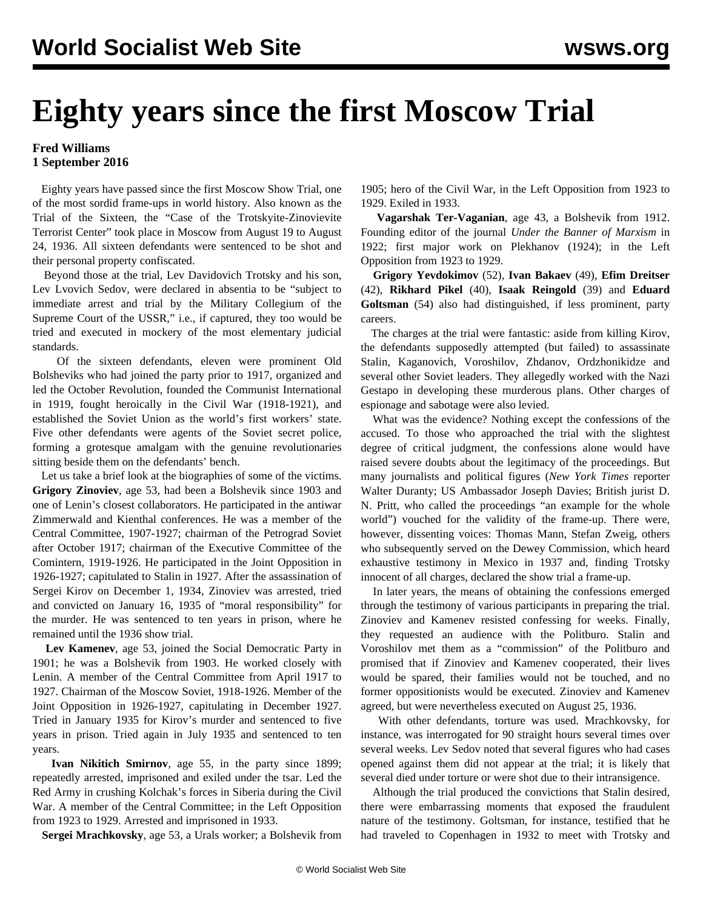## **Eighty years since the first Moscow Trial**

## **Fred Williams 1 September 2016**

 Eighty years have passed since the first Moscow Show Trial, one of the most sordid frame-ups in world history. Also known as the Trial of the Sixteen, the "Case of the Trotskyite-Zinovievite Terrorist Center" took place in Moscow from August 19 to August 24, 1936. All sixteen defendants were sentenced to be shot and their personal property confiscated.

 Beyond those at the trial, Lev Davidovich Trotsky and his son, Lev Lvovich Sedov, were declared in absentia to be "subject to immediate arrest and trial by the Military Collegium of the Supreme Court of the USSR," i.e., if captured, they too would be tried and executed in mockery of the most elementary judicial standards.

 Of the sixteen defendants, eleven were prominent Old Bolsheviks who had joined the party prior to 1917, organized and led the October Revolution, founded the Communist International in 1919, fought heroically in the Civil War (1918-1921), and established the Soviet Union as the world's first workers' state. Five other defendants were agents of the Soviet secret police, forming a grotesque amalgam with the genuine revolutionaries sitting beside them on the defendants' bench.

 Let us take a brief look at the biographies of some of the victims. **Grigory Zinoviev**, age 53, had been a Bolshevik since 1903 and one of Lenin's closest collaborators. He participated in the antiwar Zimmerwald and Kienthal conferences. He was a member of the Central Committee, 1907-1927; chairman of the Petrograd Soviet after October 1917; chairman of the Executive Committee of the Comintern, 1919-1926. He participated in the Joint Opposition in 1926-1927; capitulated to Stalin in 1927. After the assassination of Sergei Kirov on December 1, 1934, Zinoviev was arrested, tried and convicted on January 16, 1935 of "moral responsibility" for the murder. He was sentenced to ten years in prison, where he remained until the 1936 show trial.

 **Lev Kamenev**, age 53, joined the Social Democratic Party in 1901; he was a Bolshevik from 1903. He worked closely with Lenin. A member of the Central Committee from April 1917 to 1927. Chairman of the Moscow Soviet, 1918-1926. Member of the Joint Opposition in 1926-1927, capitulating in December 1927. Tried in January 1935 for Kirov's murder and sentenced to five years in prison. Tried again in July 1935 and sentenced to ten years.

 **Ivan Nikitich Smirnov**, age 55, in the party since 1899; repeatedly arrested, imprisoned and exiled under the tsar. Led the Red Army in crushing Kolchak's forces in Siberia during the Civil War. A member of the Central Committee; in the Left Opposition from 1923 to 1929. Arrested and imprisoned in 1933.

**Sergei Mrachkovsky**, age 53, a Urals worker; a Bolshevik from

1905; hero of the Civil War, in the Left Opposition from 1923 to 1929. Exiled in 1933.

 **Vagarshak Ter-Vaganian**, age 43, a Bolshevik from 1912. Founding editor of the journal *Under the Banner of Marxism* in 1922; first major work on Plekhanov (1924); in the Left Opposition from 1923 to 1929.

 **Grigory Yevdokimov** (52), **Ivan Bakaev** (49), **Efim Dreitser** (42), **Rikhard Pikel** (40), **Isaak Reingold** (39) and **Eduard Goltsman** (54) also had distinguished, if less prominent, party careers.

 The charges at the trial were fantastic: aside from killing Kirov, the defendants supposedly attempted (but failed) to assassinate Stalin, Kaganovich, Voroshilov, Zhdanov, Ordzhonikidze and several other Soviet leaders. They allegedly worked with the Nazi Gestapo in developing these murderous plans. Other charges of espionage and sabotage were also levied.

 What was the evidence? Nothing except the confessions of the accused. To those who approached the trial with the slightest degree of critical judgment, the confessions alone would have raised severe doubts about the legitimacy of the proceedings. But many journalists and political figures (*New York Times* reporter Walter Duranty; US Ambassador Joseph Davies; British jurist D. N. Pritt, who called the proceedings "an example for the whole world") vouched for the validity of the frame-up. There were, however, dissenting voices: Thomas Mann, Stefan Zweig, others who subsequently served on the Dewey Commission, which heard exhaustive testimony in Mexico in 1937 and, finding Trotsky innocent of all charges, declared the show trial a frame-up.

 In later years, the means of obtaining the confessions emerged through the testimony of various participants in preparing the trial. Zinoviev and Kamenev resisted confessing for weeks. Finally, they requested an audience with the Politburo. Stalin and Voroshilov met them as a "commission" of the Politburo and promised that if Zinoviev and Kamenev cooperated, their lives would be spared, their families would not be touched, and no former oppositionists would be executed. Zinoviev and Kamenev agreed, but were nevertheless executed on August 25, 1936.

 With other defendants, torture was used. Mrachkovsky, for instance, was interrogated for 90 straight hours several times over several weeks. Lev Sedov noted that several figures who had cases opened against them did not appear at the trial; it is likely that several died under torture or were shot due to their intransigence.

 Although the trial produced the convictions that Stalin desired, there were embarrassing moments that exposed the fraudulent nature of the testimony. Goltsman, for instance, testified that he had traveled to Copenhagen in 1932 to meet with Trotsky and